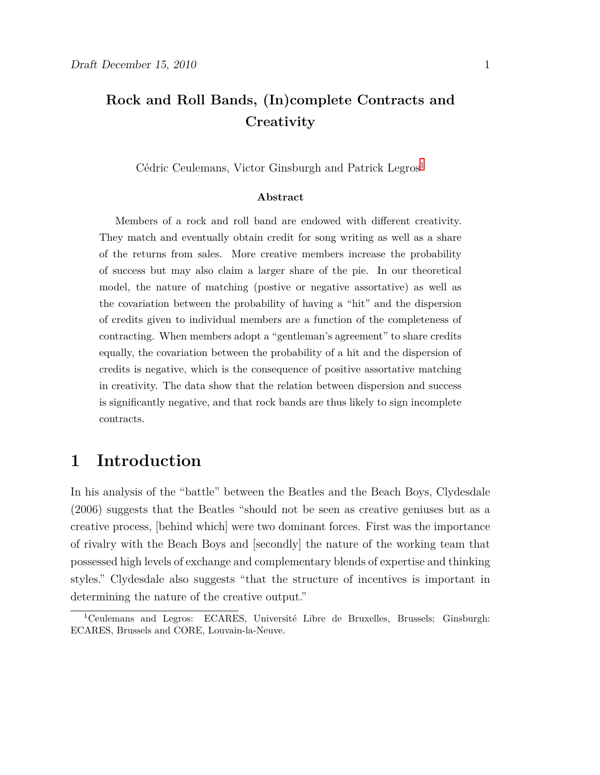## **Rock and Roll Bands, (In)complete Contracts and Creativity**

Cédric Ceulemans, Victor Ginsburgh and Patrick Legros<sup>1</sup>

#### **Abstract**

Members of a rock and roll band are endowed with different creativity. They match and eventually obtain credit for song writing as well as a share of the returns from sales. More creative members increase the probability of success but may also claim a larger share of the pie. In our theoretical model, the nature of matching (postive or negative assortative) as well as the covariation between the probability of having a "hit" and the dispersion of credits given to individual members are a function of the completeness of contracting. When members adopt a "gentleman's agreement" to share credits equally, the covariation between the probability of a hit and the dispersion of credits is negative, which is the consequence of positive assortative matching in creativity. The data show that the relation between dispersion and success is significantly negative, and that rock bands are thus likely to sign incomplete contracts.

### **1 Introduction**

In his analysis of the "battle" between the Beatles and the Beach Boys, Clydesdale (2006) suggests that the Beatles "should not be seen as creative geniuses but as a creative process, [behind which] were two dominant forces. First was the importance of rivalry with the Beach Boys and [secondly] the nature of the working team that possessed high levels of exchange and complementary blends of expertise and thinking styles." Clydesdale also suggests "that the structure of incentives is important in determining the nature of the creative output."

<sup>1</sup>Ceulemans and Legros: ECARES, Université Libre de Bruxelles, Brussels; Ginsburgh: ECARES, Brussels and CORE, Louvain-la-Neuve.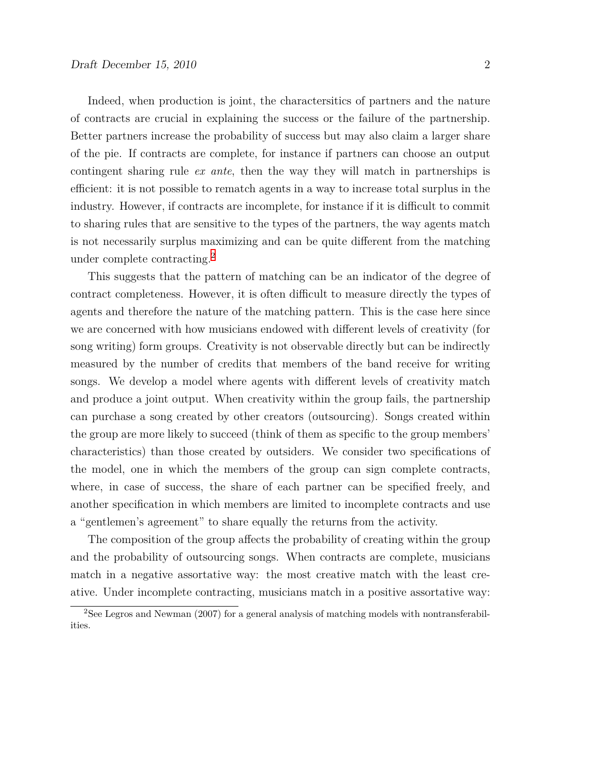Indeed, when production is joint, the charactersitics of partners and the nature of contracts are crucial in explaining the success or the failure of the partnership. Better partners increase the probability of success but may also claim a larger share of the pie. If contracts are complete, for instance if partners can choose an output contingent sharing rule *ex ante*, then the way they will match in partnerships is efficient: it is not possible to rematch agents in a way to increase total surplus in the industry. However, if contracts are incomplete, for instance if it is difficult to commit to sharing rules that are sensitive to the types of the partners, the way agents match is not necessarily surplus maximizing and can be quite different from the matching under complete contracting.2

This suggests that the pattern of matching can be an indicator of the degree of contract completeness. However, it is often difficult to measure directly the types of agents and therefore the nature of the matching pattern. This is the case here since we are concerned with how musicians endowed with different levels of creativity (for song writing) form groups. Creativity is not observable directly but can be indirectly measured by the number of credits that members of the band receive for writing songs. We develop a model where agents with different levels of creativity match and produce a joint output. When creativity within the group fails, the partnership can purchase a song created by other creators (outsourcing). Songs created within the group are more likely to succeed (think of them as specific to the group members' characteristics) than those created by outsiders. We consider two specifications of the model, one in which the members of the group can sign complete contracts, where, in case of success, the share of each partner can be specified freely, and another specification in which members are limited to incomplete contracts and use a "gentlemen's agreement" to share equally the returns from the activity.

The composition of the group affects the probability of creating within the group and the probability of outsourcing songs. When contracts are complete, musicians match in a negative assortative way: the most creative match with the least creative. Under incomplete contracting, musicians match in a positive assortative way:

<sup>2</sup>See Legros and Newman (2007) for a general analysis of matching models with nontransferabilities.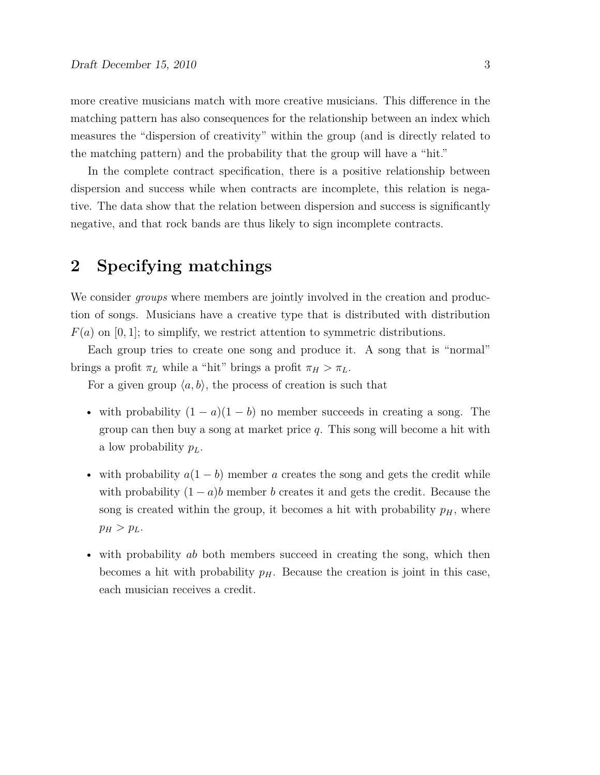more creative musicians match with more creative musicians. This difference in the matching pattern has also consequences for the relationship between an index which measures the "dispersion of creativity" within the group (and is directly related to the matching pattern) and the probability that the group will have a "hit."

In the complete contract specification, there is a positive relationship between dispersion and success while when contracts are incomplete, this relation is negative. The data show that the relation between dispersion and success is significantly negative, and that rock bands are thus likely to sign incomplete contracts.

### **2 Specifying matchings**

We consider *groups* where members are jointly involved in the creation and production of songs. Musicians have a creative type that is distributed with distribution  $F(a)$  on [0, 1]; to simplify, we restrict attention to symmetric distributions.

Each group tries to create one song and produce it. A song that is "normal" brings a profit  $\pi_L$  while a "hit" brings a profit  $\pi_H > \pi_L$ .

For a given group  $\langle a, b \rangle$ , the process of creation is such that

- with probability (1 *− a*)(1 *− b*) no member succeeds in creating a song. The group can then buy a song at market price *q*. This song will become a hit with a low probability *pL*.
- with probability *a*(1 *− b*) member *a* creates the song and gets the credit while with probability  $(1 - a)b$  member *b* creates it and gets the credit. Because the song is created within the group, it becomes a hit with probability  $p<sub>H</sub>$ , where  $p_H > p_L$ .
- with probability *ab* both members succeed in creating the song, which then becomes a hit with probability  $p<sub>H</sub>$ . Because the creation is joint in this case, each musician receives a credit.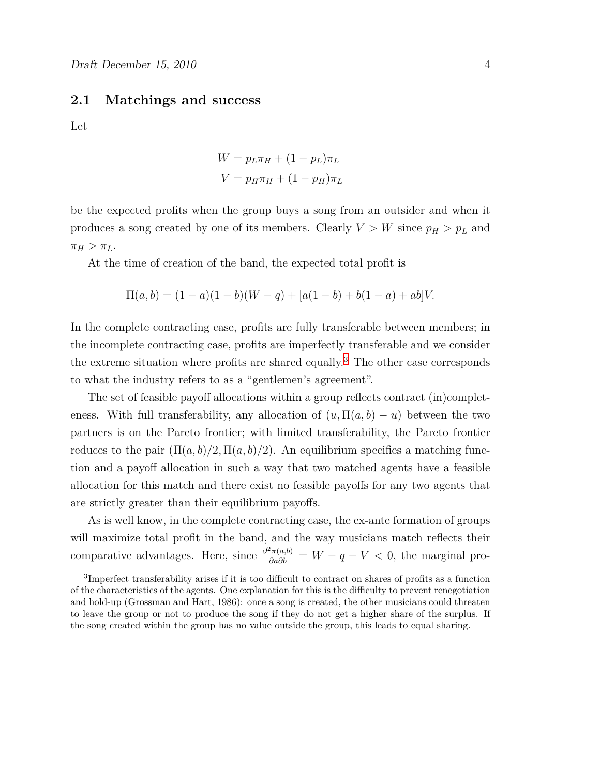#### **2.1 Matchings and success**

Let

$$
W = p_L \pi_H + (1 - p_L) \pi_L
$$

$$
V = p_H \pi_H + (1 - p_H) \pi_L
$$

be the expected profits when the group buys a song from an outsider and when it produces a song created by one of its members. Clearly  $V > W$  since  $p_H > p_L$  and  $\pi_H > \pi_L$ .

At the time of creation of the band, the expected total profit is

$$
\Pi(a,b) = (1-a)(1-b)(W-q) + [a(1-b) + b(1-a) + ab]V.
$$

In the complete contracting case, profits are fully transferable between members; in the incomplete contracting case, profits are imperfectly transferable and we consider the extreme situation where profits are shared equally.<sup>3</sup> The other case corresponds to what the industry refers to as a "gentlemen's agreement".

The set of feasible payoff allocations within a group reflects contract (in)completeness. With full transferability, any allocation of  $(u, \Pi(a, b) - u)$  between the two partners is on the Pareto frontier; with limited transferability, the Pareto frontier reduces to the pair  $(\Pi(a, b)/2, \Pi(a, b)/2)$ . An equilibrium specifies a matching function and a payoff allocation in such a way that two matched agents have a feasible allocation for this match and there exist no feasible payoffs for any two agents that are strictly greater than their equilibrium payoffs.

As is well know, in the complete contracting case, the ex-ante formation of groups will maximize total profit in the band, and the way musicians match reflects their comparative advantages. Here, since  $\frac{\partial^2 \pi(a,b)}{\partial a \partial b} = W - q - V < 0$ , the marginal pro-

<sup>&</sup>lt;sup>3</sup>Imperfect transferability arises if it is too difficult to contract on shares of profits as a function of the characteristics of the agents. One explanation for this is the difficulty to prevent renegotiation and hold-up (Grossman and Hart, 1986): once a song is created, the other musicians could threaten to leave the group or not to produce the song if they do not get a higher share of the surplus. If the song created within the group has no value outside the group, this leads to equal sharing.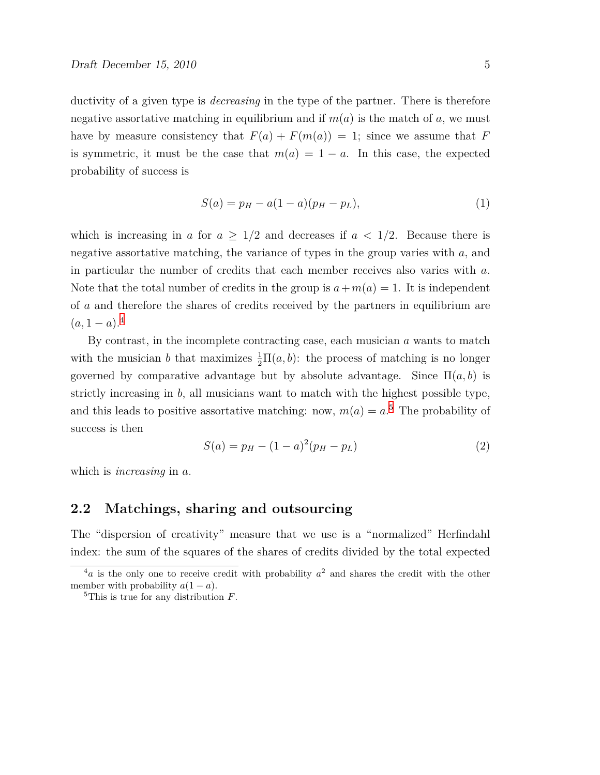ductivity of a given type is *decreasing* in the type of the partner. There is therefore negative assortative matching in equilibrium and if  $m(a)$  is the match of a, we must have by measure consistency that  $F(a) + F(m(a)) = 1$ ; since we assume that *F* is symmetric, it must be the case that  $m(a) = 1 - a$ . In this case, the expected probability of success is

$$
S(a) = p_H - a(1 - a)(p_H - p_L),
$$
\n(1)

which is increasing in *a* for  $a \geq 1/2$  and decreases if  $a < 1/2$ . Because there is negative assortative matching, the variance of types in the group varies with *a*, and in particular the number of credits that each member receives also varies with *a*. Note that the total number of credits in the group is  $a+m(a)=1$ . It is independent of *a* and therefore the shares of credits received by the partners in equilibrium are  $(a, 1 - a).<sup>4</sup>$ 

By contrast, in the incomplete contracting case, each musician *a* wants to match with the musician *b* that maximizes  $\frac{1}{2} \Pi(a, b)$ : the process of matching is no longer governed by comparative advantage but by absolute advantage. Since  $\Pi(a, b)$  is strictly increasing in *b*, all musicians want to match with the highest possible type, and this leads to positive assortative matching: now,  $m(a) = a$ <sup>5</sup>. The probability of success is then

$$
S(a) = p_H - (1 - a)^2 (p_H - p_L)
$$
\n(2)

which is *increasing* in *a*.

#### **2.2 Matchings, sharing and outsourcing**

The "dispersion of creativity" measure that we use is a "normalized" Herfindahl index: the sum of the squares of the shares of credits divided by the total expected

 $a<sup>4</sup>a$  is the only one to receive credit with probability  $a<sup>2</sup>$  and shares the credit with the other member with probability  $a(1 - a)$ .

<sup>5</sup>This is true for any distribution *F*.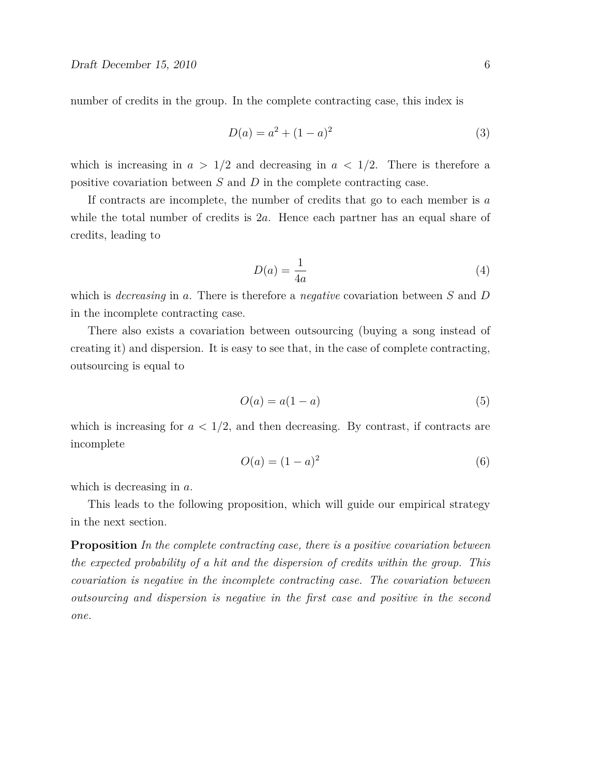number of credits in the group. In the complete contracting case, this index is

$$
D(a) = a^2 + (1 - a)^2
$$
\n(3)

which is increasing in  $a > 1/2$  and decreasing in  $a < 1/2$ . There is therefore a positive covariation between *S* and *D* in the complete contracting case.

If contracts are incomplete, the number of credits that go to each member is *a* while the total number of credits is 2*a*. Hence each partner has an equal share of credits, leading to

$$
D(a) = \frac{1}{4a} \tag{4}
$$

which is *decreasing* in *a*. There is therefore a *negative* covariation between *S* and *D* in the incomplete contracting case.

There also exists a covariation between outsourcing (buying a song instead of creating it) and dispersion. It is easy to see that, in the case of complete contracting, outsourcing is equal to

$$
O(a) = a(1 - a) \tag{5}
$$

which is increasing for  $a < 1/2$ , and then decreasing. By contrast, if contracts are incomplete

$$
O(a) = (1 - a)^2 \tag{6}
$$

which is decreasing in *a*.

This leads to the following proposition, which will guide our empirical strategy in the next section.

**Proposition** *In the complete contracting case, there is a positive covariation between the expected probability of a hit and the dispersion of credits within the group. This covariation is negative in the incomplete contracting case. The covariation between outsourcing and dispersion is negative in the first case and positive in the second one.*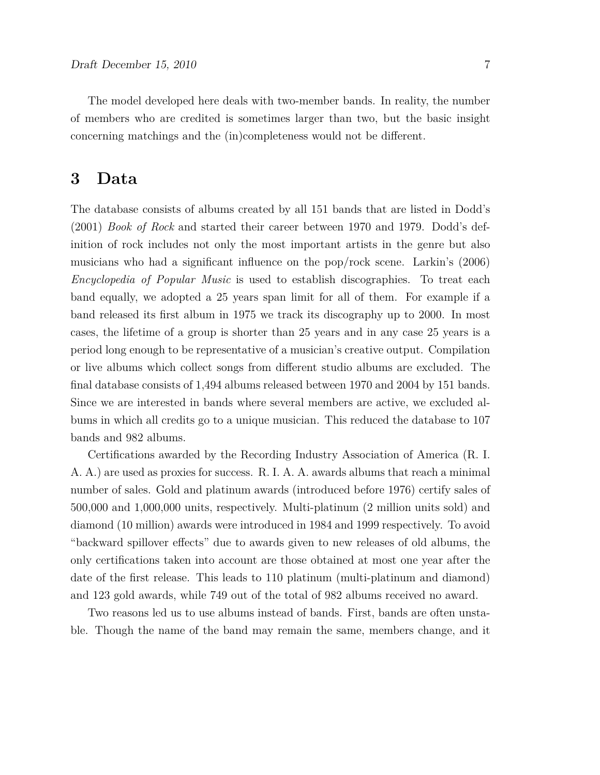The model developed here deals with two-member bands. In reality, the number of members who are credited is sometimes larger than two, but the basic insight concerning matchings and the (in)completeness would not be different.

## **3 Data**

The database consists of albums created by all 151 bands that are listed in Dodd's (2001) *Book of Rock* and started their career between 1970 and 1979. Dodd's definition of rock includes not only the most important artists in the genre but also musicians who had a significant influence on the pop/rock scene. Larkin's (2006) *Encyclopedia of Popular Music* is used to establish discographies. To treat each band equally, we adopted a 25 years span limit for all of them. For example if a band released its first album in 1975 we track its discography up to 2000. In most cases, the lifetime of a group is shorter than 25 years and in any case 25 years is a period long enough to be representative of a musician's creative output. Compilation or live albums which collect songs from different studio albums are excluded. The final database consists of 1,494 albums released between 1970 and 2004 by 151 bands. Since we are interested in bands where several members are active, we excluded albums in which all credits go to a unique musician. This reduced the database to 107 bands and 982 albums.

Certifications awarded by the Recording Industry Association of America (R. I. A. A.) are used as proxies for success. R. I. A. A. awards albums that reach a minimal number of sales. Gold and platinum awards (introduced before 1976) certify sales of 500,000 and 1,000,000 units, respectively. Multi-platinum (2 million units sold) and diamond (10 million) awards were introduced in 1984 and 1999 respectively. To avoid "backward spillover effects" due to awards given to new releases of old albums, the only certifications taken into account are those obtained at most one year after the date of the first release. This leads to 110 platinum (multi-platinum and diamond) and 123 gold awards, while 749 out of the total of 982 albums received no award.

Two reasons led us to use albums instead of bands. First, bands are often unstable. Though the name of the band may remain the same, members change, and it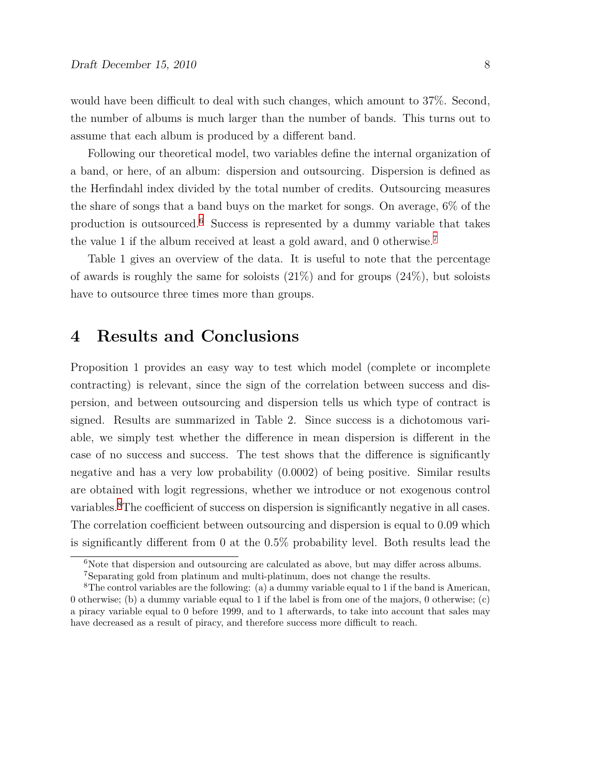would have been difficult to deal with such changes, which amount to 37%. Second, the number of albums is much larger than the number of bands. This turns out to assume that each album is produced by a different band.

Following our theoretical model, two variables define the internal organization of a band, or here, of an album: dispersion and outsourcing. Dispersion is defined as the Herfindahl index divided by the total number of credits. Outsourcing measures the share of songs that a band buys on the market for songs. On average, 6% of the production is outsourced.6 Success is represented by a dummy variable that takes the value 1 if the album received at least a gold award, and 0 otherwise.7

Table 1 gives an overview of the data. It is useful to note that the percentage of awards is roughly the same for soloists  $(21\%)$  and for groups  $(24\%)$ , but soloists have to outsource three times more than groups.

### **4 Results and Conclusions**

Proposition 1 provides an easy way to test which model (complete or incomplete contracting) is relevant, since the sign of the correlation between success and dispersion, and between outsourcing and dispersion tells us which type of contract is signed. Results are summarized in Table 2. Since success is a dichotomous variable, we simply test whether the difference in mean dispersion is different in the case of no success and success. The test shows that the difference is significantly negative and has a very low probability (0.0002) of being positive. Similar results are obtained with logit regressions, whether we introduce or not exogenous control variables.8The coefficient of success on dispersion is significantly negative in all cases. The correlation coefficient between outsourcing and dispersion is equal to 0.09 which is significantly different from 0 at the 0.5% probability level. Both results lead the

 $6N$ ote that dispersion and outsourcing are calculated as above, but may differ across albums. <sup>7</sup>Separating gold from platinum and multi-platinum, does not change the results.

<sup>8</sup>The control variables are the following: (a) a dummy variable equal to 1 if the band is American, 0 otherwise; (b) a dummy variable equal to 1 if the label is from one of the majors, 0 otherwise; (c) a piracy variable equal to 0 before 1999, and to 1 afterwards, to take into account that sales may have decreased as a result of piracy, and therefore success more difficult to reach.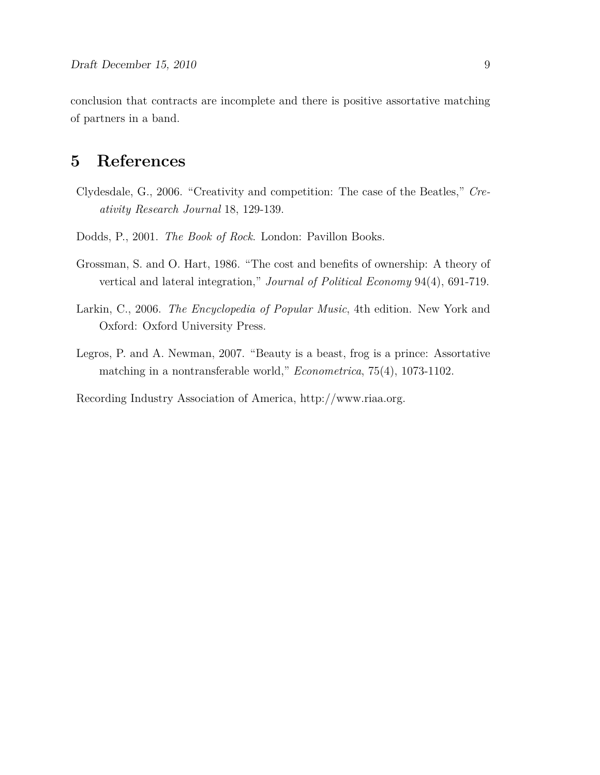conclusion that contracts are incomplete and there is positive assortative matching of partners in a band.

# **5 References**

- Clydesdale, G., 2006. "Creativity and competition: The case of the Beatles," *Creativity Research Journal* 18, 129-139.
- Dodds, P., 2001. *The Book of Rock*. London: Pavillon Books.
- Grossman, S. and O. Hart, 1986. "The cost and benefits of ownership: A theory of vertical and lateral integration," *Journal of Political Economy* 94(4), 691-719.
- Larkin, C., 2006. *The Encyclopedia of Popular Music*, 4th edition. New York and Oxford: Oxford University Press.
- Legros, P. and A. Newman, 2007. "Beauty is a beast, frog is a prince: Assortative matching in a nontransferable world," *Econometrica*, 75(4), 1073-1102.

Recording Industry Association of America, http://www.riaa.org.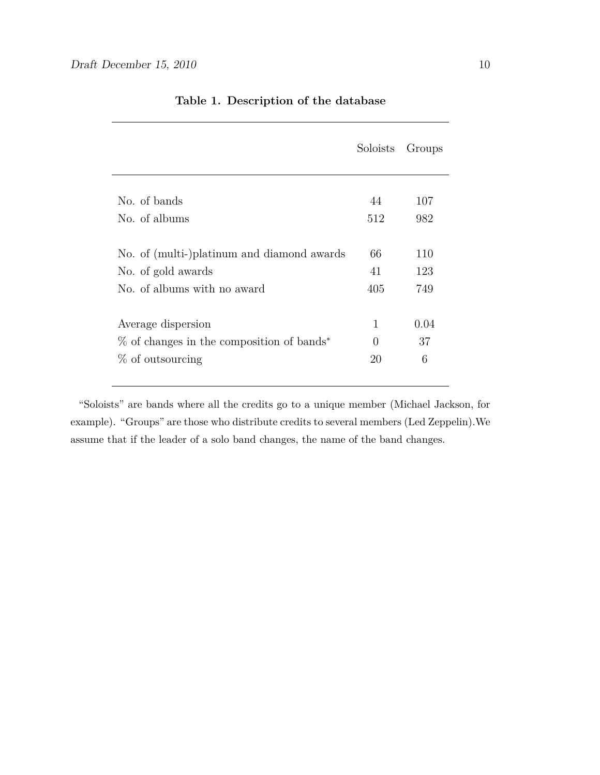|                                              | Soloists         | Groups |
|----------------------------------------------|------------------|--------|
| No. of bands                                 | 44               | 107    |
| No. of albums                                | 512              | 982    |
| No. of (multi-)platinum and diamond awards   | 66               | 110    |
| No. of gold awards                           | 41               | 123    |
| No. of albums with no award                  | 405              | 749    |
| Average dispersion                           | $\mathbf 1$      | 0.04   |
| $\%$ of changes in the composition of bands* | $\left( \right)$ | 37     |
| % of outsourcing                             | 20               | 6      |

#### **Table 1. Description of the database**

"Soloists" are bands where all the credits go to a unique member (Michael Jackson, for example). "Groups" are those who distribute credits to several members (Led Zeppelin).We assume that if the leader of a solo band changes, the name of the band changes.